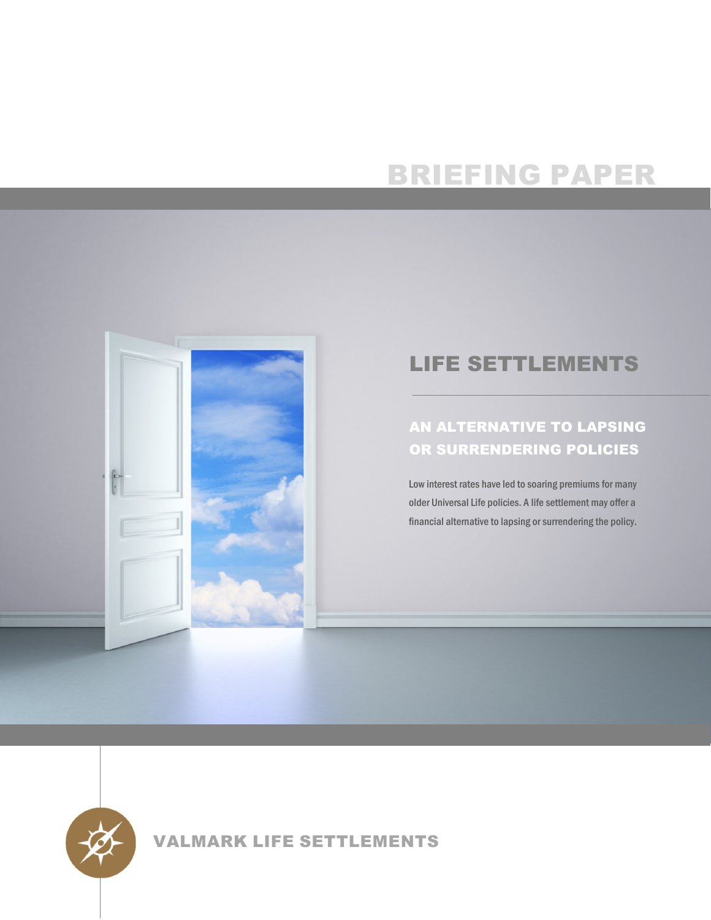# BRIEFING PAPER



## LIFE SETTLEMENTS

### AN ALTERNATIVE TO LAPSING OR SURRENDERING POLICIES

Low interest rates have led to soaring premiums for many older Universal Life policies. A life settlement may offer a financial alternative to lapsing or surrendering the policy.



VALMARK LIFE SETTLEMENTS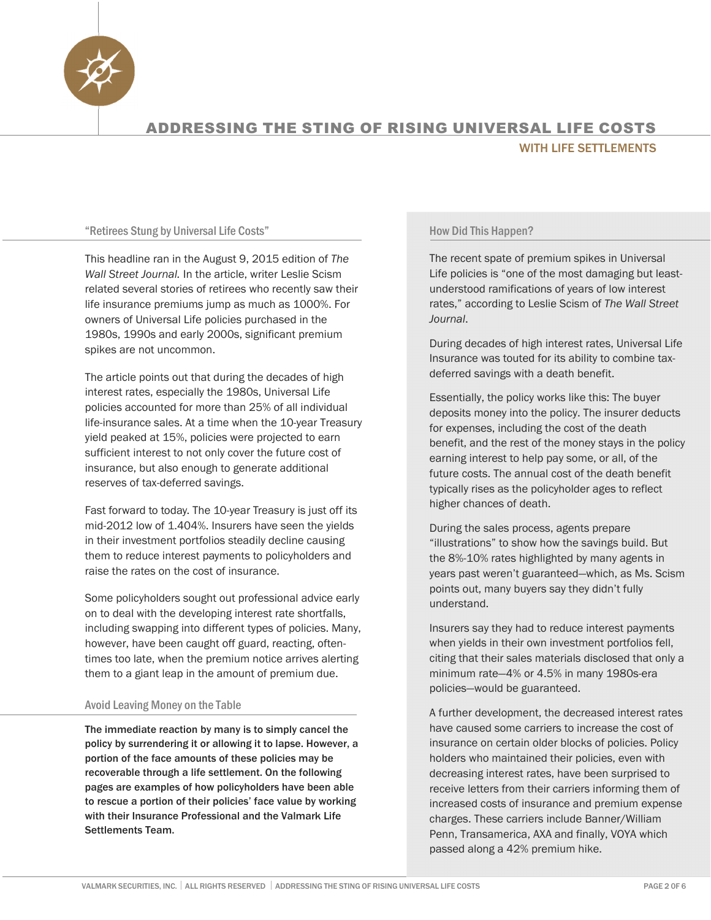

#### "Retirees Stung by Universal Life Costs"

This headline ran in the August 9, 2015 edition of *The Wall Street Journal.* In the article, writer Leslie Scism related several stories of retirees who recently saw their life insurance premiums jump as much as 1000%. For owners of Universal Life policies purchased in the 1980s, 1990s and early 2000s, significant premium spikes are not uncommon.

The article points out that during the decades of high interest rates, especially the 1980s, Universal Life policies accounted for more than 25% of all individual life-insurance sales. At a time when the 10-year Treasury yield peaked at 15%, policies were projected to earn sufficient interest to not only cover the future cost of insurance, but also enough to generate additional reserves of tax-deferred savings.

Fast forward to today. The 10-year Treasury is just off its mid-2012 low of 1.404%. Insurers have seen the yields in their investment portfolios steadily decline causing them to reduce interest payments to policyholders and raise the rates on the cost of insurance.

Some policyholders sought out professional advice early on to deal with the developing interest rate shortfalls, including swapping into different types of policies. Many, however, have been caught off guard, reacting, oftentimes too late, when the premium notice arrives alerting them to a giant leap in the amount of premium due.

### Avoid Leaving Money on the Table

The immediate reaction by many is to simply cancel the policy by surrendering it or allowing it to lapse. However, a portion of the face amounts of these policies may be recoverable through a life settlement. On the following pages are examples of how policyholders have been able to rescue a portion of their policies' face value by working with their Insurance Professional and the Valmark Life Settlements Team.

#### How Did This Happen?

The recent spate of premium spikes in Universal Life policies is "one of the most damaging but leastunderstood ramifications of years of low interest rates," according to Leslie Scism of *The Wall Street Journal*.

During decades of high interest rates, Universal Life Insurance was touted for its ability to combine taxdeferred savings with a death benefit.

Essentially, the policy works like this: The buyer deposits money into the policy. The insurer deducts for expenses, including the cost of the death benefit, and the rest of the money stays in the policy earning interest to help pay some, or all, of the future costs. The annual cost of the death benefit typically rises as the policyholder ages to reflect higher chances of death.

During the sales process, agents prepare "illustrations" to show how the savings build. But the 8%-10% rates highlighted by many agents in years past weren't guaranteed—which, as Ms. Scism points out, many buyers say they didn't fully understand.

Insurers say they had to reduce interest payments when yields in their own investment portfolios fell, citing that their sales materials disclosed that only a minimum rate—4% or 4.5% in many 1980s-era policies—would be guaranteed.

A further development, the decreased interest rates have caused some carriers to increase the cost of insurance on certain older blocks of policies. Policy holders who maintained their policies, even with decreasing interest rates, have been surprised to receive letters from their carriers informing them of increased costs of insurance and premium expense charges. These carriers include Banner/William Penn, Transamerica, AXA and finally, VOYA which passed along a 42% premium hike.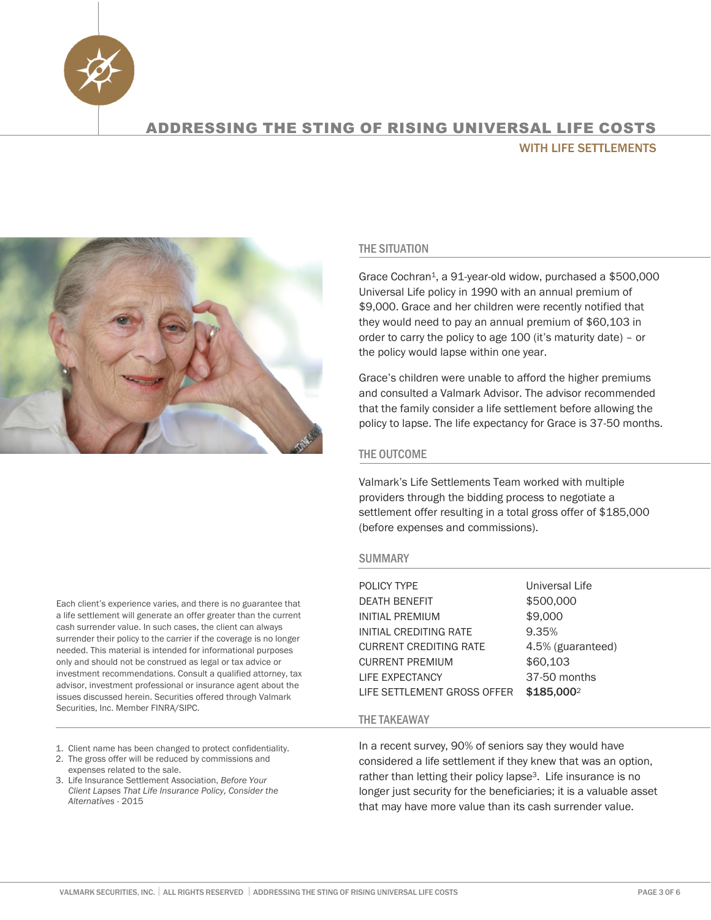



### THE SITUATION

Grace Cochran1, a 91-year-old widow, purchased a \$500,000 Universal Life policy in 1990 with an annual premium of \$9,000. Grace and her children were recently notified that they would need to pay an annual premium of \$60,103 in order to carry the policy to age 100 (it's maturity date) – or the policy would lapse within one year.

Grace's children were unable to afford the higher premiums and consulted a Valmark Advisor. The advisor recommended that the family consider a life settlement before allowing the policy to lapse. The life expectancy for Grace is 37-50 months.

### THE OUTCOME

Valmark's Life Settlements Team worked with multiple providers through the bidding process to negotiate a settlement offer resulting in a total gross offer of \$185,000 (before expenses and commissions).

### SUMMARY

| POLICY TYPE                   | Universal Life         |
|-------------------------------|------------------------|
| <b>DEATH BENEFIT</b>          | \$500,000              |
| <b>INITIAL PREMIUM</b>        | \$9,000                |
| INITIAL CREDITING RATE        | 9.35%                  |
| <b>CURRENT CREDITING RATE</b> | 4.5% (guaranteed)      |
| <b>CURRENT PREMIUM</b>        | \$60,103               |
| LIFE EXPECTANCY               | 37-50 months           |
| LIFE SETTLEMENT GROSS OFFER   | \$185,000 <sup>2</sup> |

### THE TAKEAWAY

In a recent survey, 90% of seniors say they would have considered a life settlement if they knew that was an option, rather than letting their policy lapse<sup>3</sup>. Life insurance is no longer just security for the beneficiaries; it is a valuable asset that may have more value than its cash surrender value.

Each client's experience varies, and there is no guarantee that a life settlement will generate an offer greater than the current cash surrender value. In such cases, the client can always surrender their policy to the carrier if the coverage is no longer needed. This material is intended for informational purposes only and should not be construed as legal or tax advice or investment recommendations. Consult a qualified attorney, tax advisor, investment professional or insurance agent about the issues discussed herein. Securities offered through Valmark Securities, Inc. Member FINRA/SIPC.

- 1. Client name has been changed to protect confidentiality.
- 2. The gross offer will be reduced by commissions and expenses related to the sale.
- *Alternatives -* 2015 3. Life Insurance Settlement Association, *Before Your Client Lapses That Life Insurance Policy, Consider the*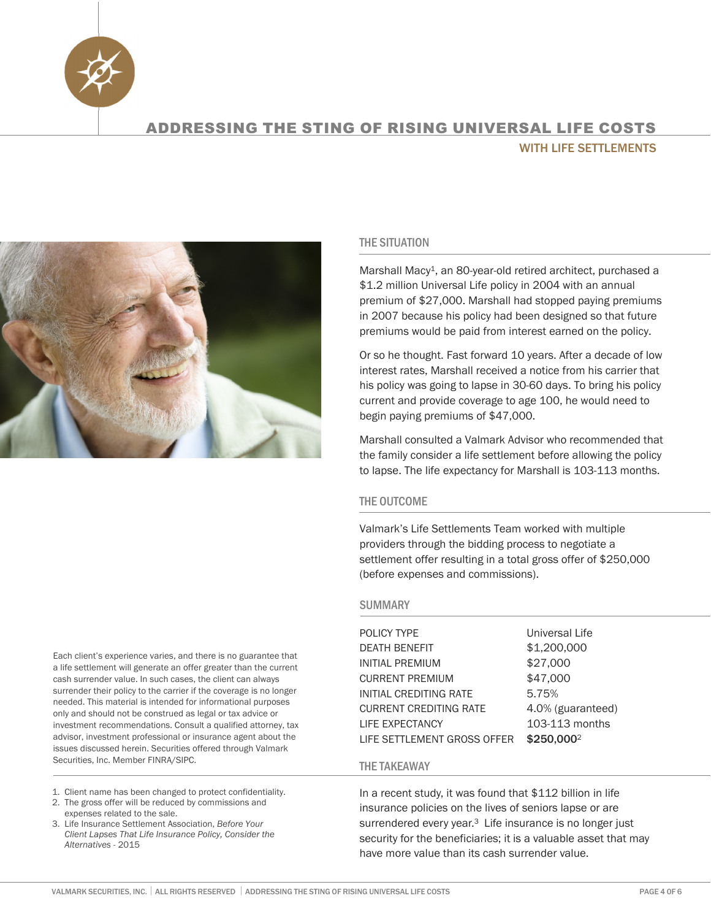



### THE SITUATION

Marshall Macy<sup>1</sup>, an 80-year-old retired architect, purchased a \$1.2 million Universal Life policy in 2004 with an annual premium of \$27,000. Marshall had stopped paying premiums in 2007 because his policy had been designed so that future premiums would be paid from interest earned on the policy.

Or so he thought. Fast forward 10 years. After a decade of low interest rates, Marshall received a notice from his carrier that his policy was going to lapse in 30-60 days. To bring his policy current and provide coverage to age 100, he would need to begin paying premiums of \$47,000.

Marshall consulted a Valmark Advisor who recommended that the family consider a life settlement before allowing the policy to lapse. The life expectancy for Marshall is 103-113 months.

### THE OUTCOME

Valmark's Life Settlements Team worked with multiple providers through the bidding process to negotiate a settlement offer resulting in a total gross offer of \$250,000 (before expenses and commissions).

#### **SUMMARY**

POLICY TYPE Universal Life DEATH BENEFIT \$1,200,000 INITIAL PREMIUM \$27,000 CURRENT PREMIUM \$47,000 INITIAL CREDITING RATE 5.75% CURRENT CREDITING RATE 4.0% (guaranteed) LIFE EXPECTANCY 103-113 months LIFE SETTLEMENT GROSS OFFER \$250,000<sup>2</sup>

### THE TAKEAWAY

In a recent study, it was found that \$112 billion in life insurance policies on the lives of seniors lapse or are surrendered every year.<sup>3</sup> Life insurance is no longer just security for the beneficiaries; it is a valuable asset that may have more value than its cash surrender value.

Each client's experience varies, and there is no guarantee that a life settlement will generate an offer greater than the current cash surrender value. In such cases, the client can always surrender their policy to the carrier if the coverage is no longer needed. This material is intended for informational purposes only and should not be construed as legal or tax advice or investment recommendations. Consult a qualified attorney, tax advisor, investment professional or insurance agent about the issues discussed herein. Securities offered through Valmark Securities, Inc. Member FINRA/SIPC.

- 1. Client name has been changed to protect confidentiality.
- 2. The gross offer will be reduced by commissions and expenses related to the sale.
- 3. Life Insurance Settlement Association, *Before Your Client Lapses That Life Insurance Policy, Consider the Alternatives -* 2015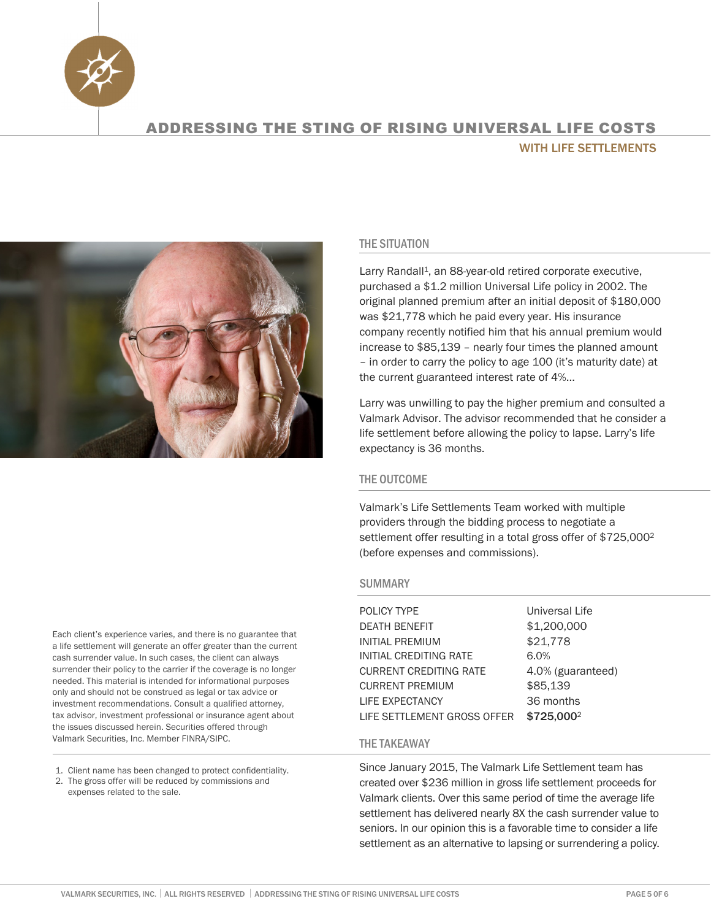



THE SITUATION

Larry Randall<sup>1</sup>, an 88-year-old retired corporate executive, purchased a \$1.2 million Universal Life policy in 2002. The original planned premium after an initial deposit of \$180,000 was \$21,778 which he paid every year. His insurance company recently notified him that his annual premium would increase to \$85,139 – nearly four times the planned amount – in order to carry the policy to age 100 (it's maturity date) at the current guaranteed interest rate of 4%...

Larry was unwilling to pay the higher premium and consulted a Valmark Advisor. The advisor recommended that he consider a life settlement before allowing the policy to lapse. Larry's life expectancy is 36 months.

### THE OUTCOME

Valmark's Life Settlements Team worked with multiple providers through the bidding process to negotiate a settlement offer resulting in a total gross offer of \$725,0002 (before expenses and commissions).

### SUMMARY

POLICY TYPE Universal Life DEATH BENEFIT \$1,200,000 INITIAL PREMIUM \$21,778 INITIAL CREDITING RATE 6.0% CURRENT CREDITING RATE 4.0% (guaranteed) CURRENT PREMIUM \$85,139 LIFE EXPECTANCY 36 months LIFE SETTLEMENT GROSS OFFER \$725,000<sup>2</sup>

### THE TAKEAWAY

Since January 2015, The Valmark Life Settlement team has created over \$236 million in gross life settlement proceeds for Valmark clients. Over this same period of time the average life settlement has delivered nearly 8X the cash surrender value to seniors. In our opinion this is a favorable time to consider a life settlement as an alternative to lapsing or surrendering a policy.

Each client's experience varies, and there is no guarantee that a life settlement will generate an offer greater than the current cash surrender value. In such cases, the client can always surrender their policy to the carrier if the coverage is no longer needed. This material is intended for informational purposes only and should not be construed as legal or tax advice or investment recommendations. Consult a qualified attorney, tax advisor, investment professional or insurance agent about the issues discussed herein. Securities offered through Valmark Securities, Inc. Member FINRA/SIPC.

- 1. Client name has been changed to protect confidentiality.
- 2. The gross offer will be reduced by commissions and expenses related to the sale.